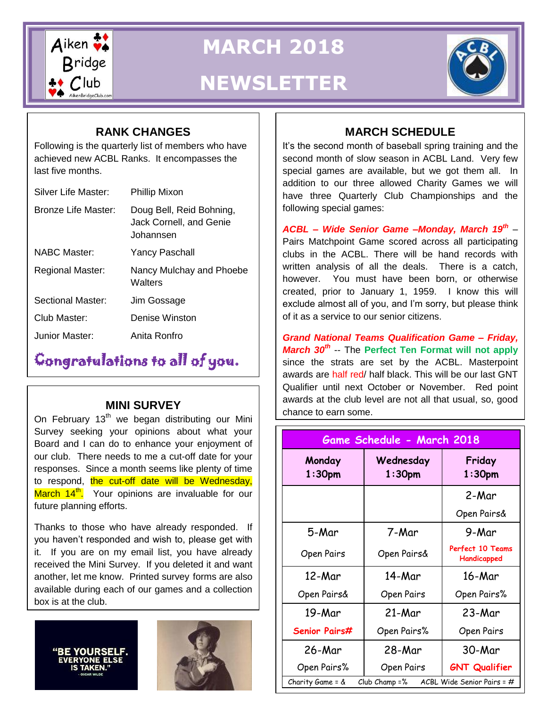

**MARCH 2018**

# **NEWSLETTER**

## **RANK CHANGES**

achieved new ACBL Ranks. It encompasses the Following is the quarterly list of members who have last five months.

| <b>Silver Life Master:</b> | <b>Phillip Mixon</b>                                             |  |
|----------------------------|------------------------------------------------------------------|--|
| Bronze Life Master:        | Doug Bell, Reid Bohning,<br>Jack Cornell, and Genie<br>Johannsen |  |
| NABC Master:               | <b>Yancy Paschall</b>                                            |  |
| Regional Master:           | Nancy Mulchay and Phoebe<br>Walters                              |  |
| Sectional Master:          | Jim Gossage                                                      |  |
| Club Master:               | Denise Winston                                                   |  |
| Junior Master <sup>.</sup> | Anita Ronfro                                                     |  |

# Congratulations to all of you.

#### **MINI SURVEY**

 our club. There needs to me a cut-off date for your On February  $13<sup>th</sup>$  we began distributing our Mini Survey seeking your opinions about what your Board and I can do to enhance your enjoyment of responses. Since a month seems like plenty of time to respond, the cut-off date will be Wednesday, March 14<sup>th</sup>. Your opinions are invaluable for our future planning efforts.

Thanks to those who have already responded. If you haven't responded and wish to, please get with it. If you are on my email list, you have already received the Mini Survey. If you deleted it and want another, let me know. Printed survey forms are also available during each of our games and a collection box is at the club.



## **MARCH SCHEDULE**

It's the second month of baseball spring training and the second month of slow season in ACBL Land. Very few special games are available, but we got them all. In addition to our three allowed Charity Games we will have three Quarterly Club Championships and the following special games:

*ACBL – Wide Senior Game –Monday, March 19th* – Pairs Matchpoint Game scored across all participating clubs in the ACBL. There will be hand records with written analysis of all the deals. There is a catch, however. You must have been born, or otherwise created, prior to January 1, 1959. I know this will exclude almost all of you, and I'm sorry, but please think of it as a service to our senior citizens.

*Grand National Teams Qualification Game – Friday, March 30th* -- The **Perfect Ten Format will not apply** since the strats are set by the ACBL. Masterpoint awards are half red/ half black. This will be our last GNT Qualifier until next October or November. Red point awards at the club level are not all that usual, so, good chance to earn some.

| Game Schedule - March 2018                                      |                        |                                 |  |
|-----------------------------------------------------------------|------------------------|---------------------------------|--|
| Monday<br>1:30pm                                                | Wednesday<br>$1:30$ pm | Friday<br>1:30 <sub>pm</sub>    |  |
|                                                                 |                        | 2-Mar                           |  |
|                                                                 |                        | Open Pairs&                     |  |
| 5-Mar                                                           | 7-Mar                  | 9-Mar                           |  |
| Open Pairs                                                      | Open Pairs&            | Perfect 10 Teams<br>Handicapped |  |
| 12-Mar                                                          | 14-Mar                 | 16-Mar                          |  |
| Open Pairs&                                                     | Open Pairs             | Open Pairs%                     |  |
| 19-Mar                                                          | 21-Mar                 | 23-Mar                          |  |
| Senior Pairs#                                                   | Open Pairs%            | Open Pairs                      |  |
| 26-Mar                                                          | 28-Mar                 | 30-Mar                          |  |
| Open Pairs%                                                     | Open Pairs             | <b>GNT Qualifier</b>            |  |
| ACBL Wide Senior Pairs = #<br>Charity Game = &<br>Club Champ =% |                        |                                 |  |